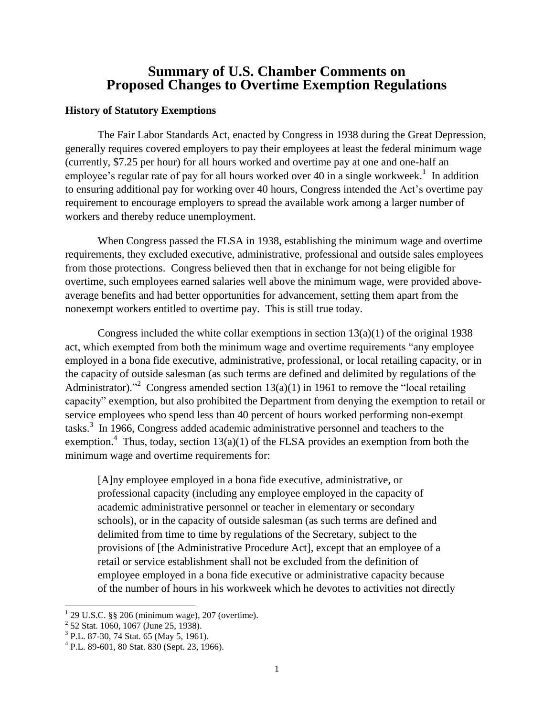## **Summary of U.S. Chamber Comments on Proposed Changes to Overtime Exemption Regulations**

## **History of Statutory Exemptions**

The Fair Labor Standards Act, enacted by Congress in 1938 during the Great Depression, generally requires covered employers to pay their employees at least the federal minimum wage (currently, \$7.25 per hour) for all hours worked and overtime pay at one and one-half an employee's regular rate of pay for all hours worked over 40 in a single workweek.<sup>1</sup> In addition to ensuring additional pay for working over 40 hours, Congress intended the Act's overtime pay requirement to encourage employers to spread the available work among a larger number of workers and thereby reduce unemployment.

When Congress passed the FLSA in 1938, establishing the minimum wage and overtime requirements, they excluded executive, administrative, professional and outside sales employees from those protections. Congress believed then that in exchange for not being eligible for overtime, such employees earned salaries well above the minimum wage, were provided aboveaverage benefits and had better opportunities for advancement, setting them apart from the nonexempt workers entitled to overtime pay. This is still true today.

Congress included the white collar exemptions in section  $13(a)(1)$  of the original 1938 act, which exempted from both the minimum wage and overtime requirements "any employee employed in a bona fide executive, administrative, professional, or local retailing capacity, or in the capacity of outside salesman (as such terms are defined and delimited by regulations of the Administrator).<sup>32</sup> Congress amended section 13(a)(1) in 1961 to remove the "local retailing capacity" exemption, but also prohibited the Department from denying the exemption to retail or service employees who spend less than 40 percent of hours worked performing non-exempt tasks.<sup>3</sup> In 1966, Congress added academic administrative personnel and teachers to the exemption.<sup>4</sup> Thus, today, section  $13(a)(1)$  of the FLSA provides an exemption from both the minimum wage and overtime requirements for:

[A]ny employee employed in a bona fide executive, administrative, or professional capacity (including any employee employed in the capacity of academic administrative personnel or teacher in elementary or secondary schools), or in the capacity of outside salesman (as such terms are defined and delimited from time to time by regulations of the Secretary, subject to the provisions of [the Administrative Procedure Act], except that an employee of a retail or service establishment shall not be excluded from the definition of employee employed in a bona fide executive or administrative capacity because of the number of hours in his workweek which he devotes to activities not directly

 $\overline{a}$ 

 $1$  29 U.S.C. §§ 206 (minimum wage), 207 (overtime).

<sup>&</sup>lt;sup>2</sup> 52 Stat. 1060, 1067 (June 25, 1938).

<sup>3</sup> P.L. 87-30, 74 Stat. 65 (May 5, 1961).

<sup>4</sup> P.L. 89-601, 80 Stat. 830 (Sept. 23, 1966).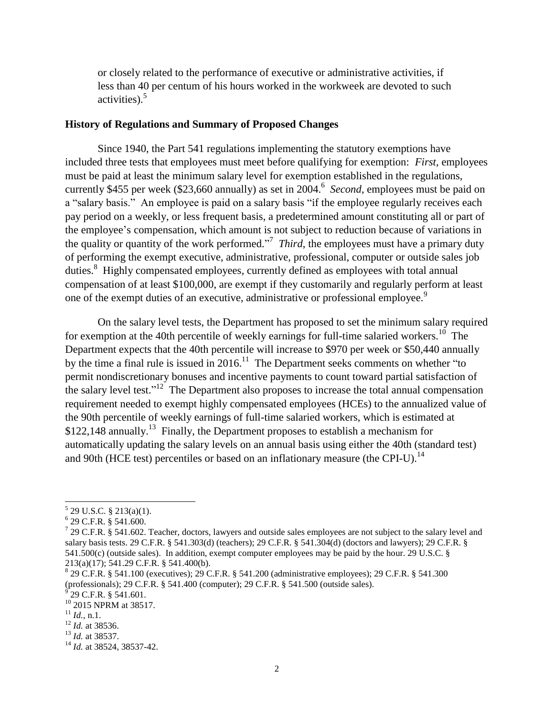or closely related to the performance of executive or administrative activities, if less than 40 per centum of his hours worked in the workweek are devoted to such activities). 5

## **History of Regulations and Summary of Proposed Changes**

Since 1940, the Part 541 regulations implementing the statutory exemptions have included three tests that employees must meet before qualifying for exemption: *First*, employees must be paid at least the minimum salary level for exemption established in the regulations, currently \$455 per week (\$23,660 annually) as set in 2004.<sup>6</sup> Second, employees must be paid on a "salary basis." An employee is paid on a salary basis "if the employee regularly receives each pay period on a weekly, or less frequent basis, a predetermined amount constituting all or part of the employee's compensation, which amount is not subject to reduction because of variations in the quality or quantity of the work performed.<sup>"</sup> Third, the employees must have a primary duty of performing the exempt executive, administrative, professional, computer or outside sales job duties.<sup>8</sup> Highly compensated employees, currently defined as employees with total annual compensation of at least \$100,000, are exempt if they customarily and regularly perform at least one of the exempt duties of an executive, administrative or professional employee.<sup>9</sup>

On the salary level tests, the Department has proposed to set the minimum salary required for exemption at the 40th percentile of weekly earnings for full-time salaried workers.<sup>10</sup> The Department expects that the 40th percentile will increase to \$970 per week or \$50,440 annually by the time a final rule is issued in 2016.<sup>11</sup> The Department seeks comments on whether "to" permit nondiscretionary bonuses and incentive payments to count toward partial satisfaction of the salary level test."<sup>12</sup> The Department also proposes to increase the total annual compensation requirement needed to exempt highly compensated employees (HCEs) to the annualized value of the 90th percentile of weekly earnings of full-time salaried workers, which is estimated at \$122,148 annually.<sup>13</sup> Finally, the Department proposes to establish a mechanism for automatically updating the salary levels on an annual basis using either the 40th (standard test) and 90th (HCE test) percentiles or based on an inflationary measure (the CPI-U).<sup>14</sup>

 5 29 U.S.C. § 213(a)(1).

<sup>6</sup> 29 C.F.R. § 541.600.

 $7$  29 C.F.R. § 541.602. Teacher, doctors, lawyers and outside sales employees are not subject to the salary level and salary basis tests. 29 C.F.R. § 541.303(d) (teachers); 29 C.F.R. § 541.304(d) (doctors and lawyers); 29 C.F.R. § 541.500(c) (outside sales). In addition, exempt computer employees may be paid by the hour. 29 U.S.C. § 213(a)(17); 541.29 C.F.R. § 541.400(b).

<sup>8</sup> 29 C.F.R. § 541.100 (executives); 29 C.F.R. § 541.200 (administrative employees); 29 C.F.R. § 541.300 (professionals); 29 C.F.R. § 541.400 (computer); 29 C.F.R. § 541.500 (outside sales).

<sup>29</sup> C.F.R. § 541.601.

<sup>&</sup>lt;sup>10</sup> 2015 NPRM at 38517.

 $^{11}$  *Id.*, n.1.

<sup>12</sup> *Id.* at 38536.

<sup>13</sup> *Id.* at 38537.

<sup>14</sup> *Id.* at 38524, 38537-42.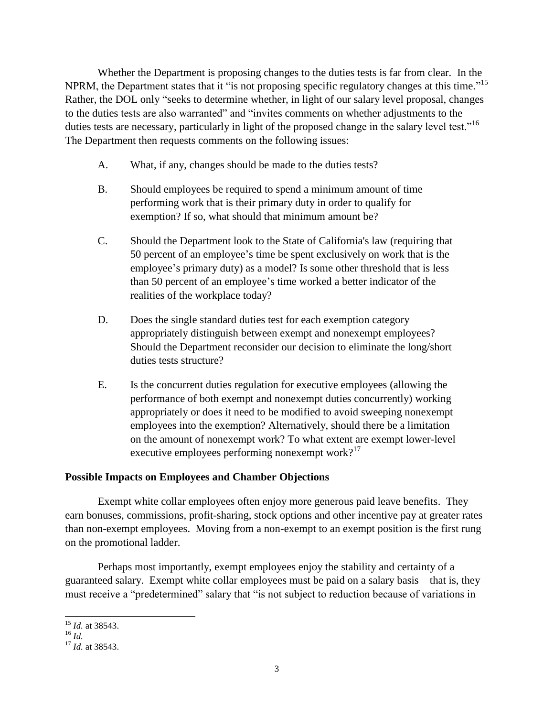Whether the Department is proposing changes to the duties tests is far from clear. In the NPRM, the Department states that it "is not proposing specific regulatory changes at this time."<sup>15</sup> Rather, the DOL only "seeks to determine whether, in light of our salary level proposal, changes to the duties tests are also warranted" and "invites comments on whether adjustments to the duties tests are necessary, particularly in light of the proposed change in the salary level test."<sup>16</sup> The Department then requests comments on the following issues:

- A. What, if any, changes should be made to the duties tests?
- B. Should employees be required to spend a minimum amount of time performing work that is their primary duty in order to qualify for exemption? If so, what should that minimum amount be?
- C. Should the Department look to the State of California's law (requiring that 50 percent of an employee's time be spent exclusively on work that is the employee's primary duty) as a model? Is some other threshold that is less than 50 percent of an employee's time worked a better indicator of the realities of the workplace today?
- D. Does the single standard duties test for each exemption category appropriately distinguish between exempt and nonexempt employees? Should the Department reconsider our decision to eliminate the long/short duties tests structure?
- E. Is the concurrent duties regulation for executive employees (allowing the performance of both exempt and nonexempt duties concurrently) working appropriately or does it need to be modified to avoid sweeping nonexempt employees into the exemption? Alternatively, should there be a limitation on the amount of nonexempt work? To what extent are exempt lower-level executive employees performing nonexempt work? $17$

## **Possible Impacts on Employees and Chamber Objections**

Exempt white collar employees often enjoy more generous paid leave benefits. They earn bonuses, commissions, profit-sharing, stock options and other incentive pay at greater rates than non-exempt employees. Moving from a non-exempt to an exempt position is the first rung on the promotional ladder.

Perhaps most importantly, exempt employees enjoy the stability and certainty of a guaranteed salary. Exempt white collar employees must be paid on a salary basis – that is, they must receive a "predetermined" salary that "is not subject to reduction because of variations in

l <sup>15</sup> *Id.* at 38543.

 $^{16}$  *Id.* 

<sup>17</sup> *Id.* at 38543.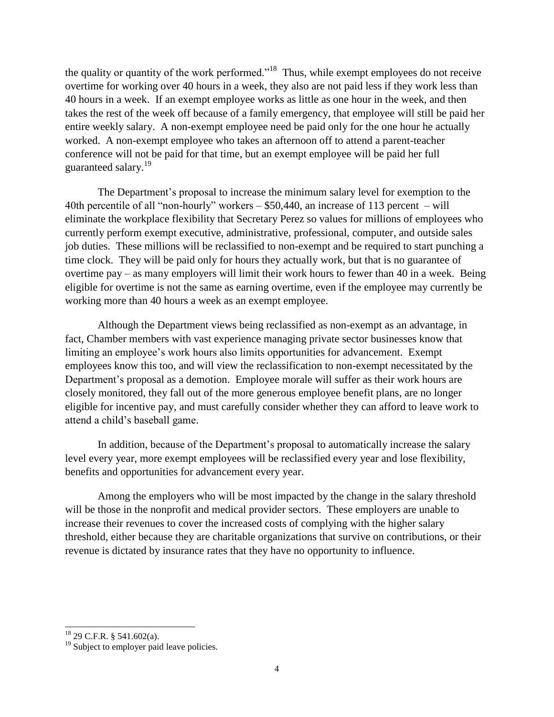the quality or quantity of the work performed."<sup>18</sup> Thus, while exempt employees do not receive overtime for working over 40 hours in a week, they also are not paid less if they work less than 40 hours in a week. If an exempt employee works as little as one hour in the week, and then takes the rest of the week off because of a family emergency, that employee will still be paid her entire weekly salary. A non-exempt employee need be paid only for the one hour he actually worked. A non-exempt employee who takes an afternoon off to attend a parent-teacher conference will not be paid for that time, but an exempt employee will be paid her full guaranteed salary.<sup>19</sup>

The Department's proposal to increase the minimum salary level for exemption to the 40th percentile of all "non-hourly" workers – \$50,440, an increase of 113 percent – will eliminate the workplace flexibility that Secretary Perez so values for millions of employees who currently perform exempt executive, administrative, professional, computer, and outside sales job duties. These millions will be reclassified to non-exempt and be required to start punching a time clock. They will be paid only for hours they actually work, but that is no guarantee of overtime pay – as many employers will limit their work hours to fewer than 40 in a week. Being eligible for overtime is not the same as earning overtime, even if the employee may currently be working more than 40 hours a week as an exempt employee.

Although the Department views being reclassified as non-exempt as an advantage, in fact, Chamber members with vast experience managing private sector businesses know that limiting an employee's work hours also limits opportunities for advancement. Exempt employees know this too, and will view the reclassification to non-exempt necessitated by the Department's proposal as a demotion. Employee morale will suffer as their work hours are closely monitored, they fall out of the more generous employee benefit plans, are no longer eligible for incentive pay, and must carefully consider whether they can afford to leave work to attend a child's baseball game.

In addition, because of the Department's proposal to automatically increase the salary level every year, more exempt employees will be reclassified every year and lose flexibility, benefits and opportunities for advancement every year.

Among the employers who will be most impacted by the change in the salary threshold will be those in the nonprofit and medical provider sectors. These employers are unable to increase their revenues to cover the increased costs of complying with the higher salary threshold, either because they are charitable organizations that survive on contributions, or their revenue is dictated by insurance rates that they have no opportunity to influence.

 $\overline{a}$ 

 $18$  29 C.F.R. § 541.602(a).

<sup>&</sup>lt;sup>19</sup> Subject to employer paid leave policies.